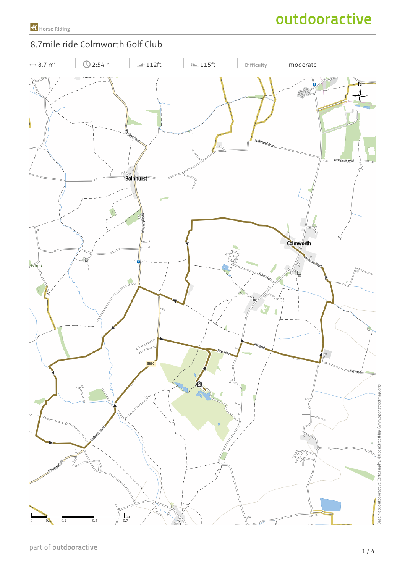### 8.7mile ride Colmworth Golf Club

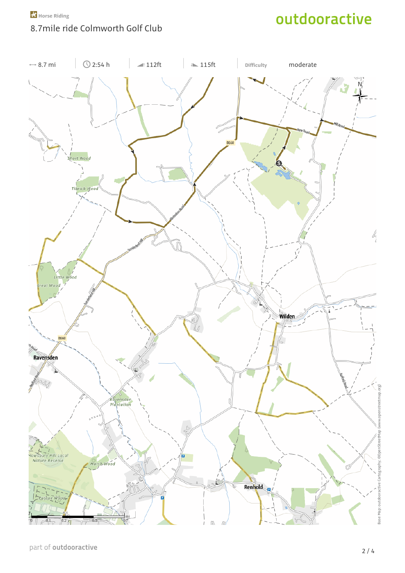### 8.7mile ride Colmworth Golf Club

# outdooractive

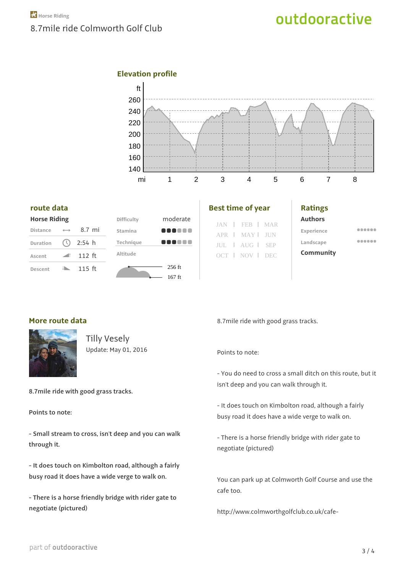#### **Elevation profile**



#### **route data**

| <b>Horse Riding</b> |
|---------------------|
|                     |

| <b>Distance</b> | 8.7 mi                |  |
|-----------------|-----------------------|--|
| Duration        | (\) 2:54 h            |  |
| Ascent          | $\blacksquare$ 112 ft |  |
| Descent         | $115$ ft              |  |



|  | ווטטי נווווט טו פעט |  |
|--|---------------------|--|
|  | JAN   FEB   MAR     |  |
|  | APR   MAY   JUN     |  |
|  | JUL   AUG   SEP     |  |
|  | OCT   NOV   DEC     |  |
|  |                     |  |

**Best time of year**

| <b>Ratings</b> |
|----------------|
| Authors        |
| Experience     |
| Landscape      |
| Community      |

...... ......

#### **More route data**



Tilly Vesely Update: May 01, 2016

**8.7mile ride with good grass tracks.**

**Points to note:**

**- Small stream to cross, isn't deep and you can walk through it.**

**- It does touch on Kimbolton road, although a fairly busy road it does have a wide verge to walk on.**

**- There is a horse friendly bridge with rider gate to negotiate (pictured)**

8.7mile ride with good grass tracks.

Points to note:

- You do need to cross a small ditch on this route, but it isn't deep and you can walk through it.

- It does touch on Kimbolton road, although a fairly busy road it does have a wide verge to walk on.

- There is a horse friendly bridge with rider gate to negotiate (pictured)

You can park up at Colmworth Golf Course and use the cafe too.

http://www.colmworthgolfclub.co.uk/cafe-